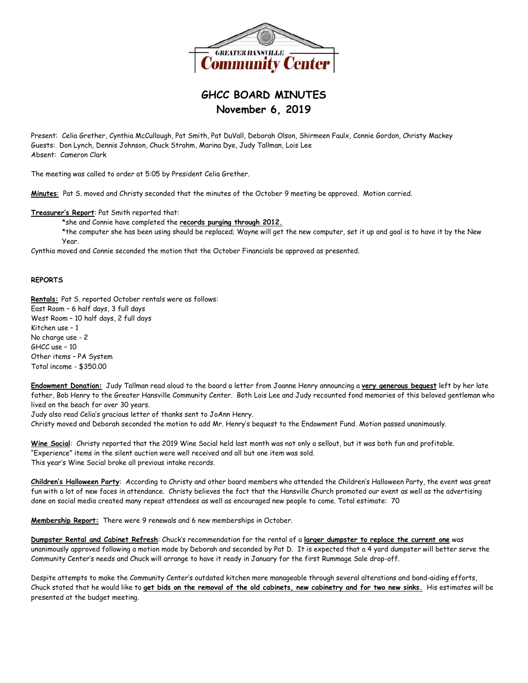

# **GHCC BOARD MINUTES November 6, 2019**

Present: Celia Grether, Cynthia McCullough, Pat Smith, Pat DuVall, Deborah Olson, Shirmeen Faulx, Connie Gordon, Christy Mackey Guests: Don Lynch, Dennis Johnson, Chuck Strahm, Marina Dye, Judy Tallman, Lois Lee Absent: Cameron Clark

The meeting was called to order at 5:05 by President Celia Grether.

**Minutes**: Pat S. moved and Christy seconded that the minutes of the October 9 meeting be approved. Motion carried.

**Treasurer's Report**: Pat Smith reported that:

\*she and Connie have completed the **records purging through 2012.**

\*the computer she has been using should be replaced; Wayne will get the new computer, set it up and goal is to have it by the New Year.

Cynthia moved and Connie seconded the motion that the October Financials be approved as presented.

# **REPORTS**

**Rentals:** Pat S. reported October rentals were as follows: East Room – 6 half days, 3 full days West Room – 10 half days, 2 full days Kitchen use – 1 No charge use - 2 GHCC use – 10 Other items – PA System Total income - \$350.00

**Endowment Donation:** Judy Tallman read aloud to the board a letter from Joanne Henry announcing a **very generous bequest** left by her late father, Bob Henry to the Greater Hansville Community Center. Both Lois Lee and Judy recounted fond memories of this beloved gentleman who lived on the beach for over 30 years.

Judy also read Celia's gracious letter of thanks sent to JoAnn Henry.

Christy moved and Deborah seconded the motion to add Mr. Henry's bequest to the Endowment Fund. Motion passed unanimously.

**Wine Social**: Christy reported that the 2019 Wine Social held last month was not only a sellout, but it was both fun and profitable. "Experience" items in the silent auction were well received and all but one item was sold. This year's Wine Social broke all previous intake records.

**Children's Halloween Party**: According to Christy and other board members who attended the Children's Halloween Party, the event was great fun with a lot of new faces in attendance. Christy believes the fact that the Hansville Church promoted our event as well as the advertising done on social media created many repeat attendees as well as encouraged new people to come. Total estimate: 70

**Membership Report:** There were 9 renewals and 6 new memberships in October.

**Dumpster Rental and Cabinet Refresh**: Chuck's recommendation for the rental of a **larger dumpster to replace the current one** was unanimously approved following a motion made by Deborah and seconded by Pat D. It is expected that a 4 yard dumpster will better serve the Community Center's needs and Chuck will arrange to have it ready in January for the first Rummage Sale drop-off.

Despite attempts to make the Community Center's outdated kitchen more manageable through several alterations and band-aiding efforts, Chuck stated that he would like to **get bids on the removal of the old cabinets, new cabinetry and for two new sinks.** His estimates will be presented at the budget meeting.